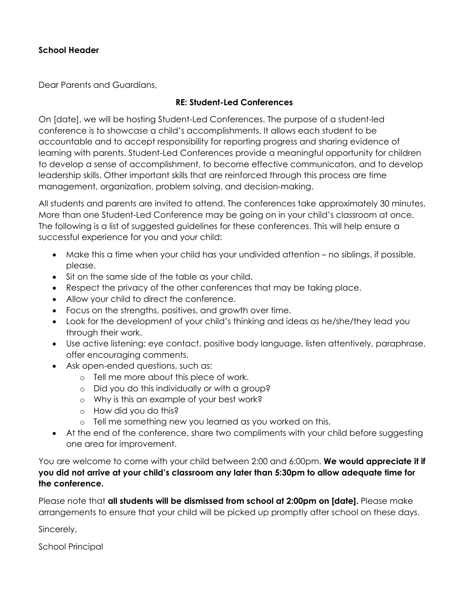#### **School Header**

Dear Parents and Guardians,

#### **RE: Student-Led Conferences**

On [date], we will be hosting Student-Led Conferences. The purpose of a student-led conference is to showcase a child's accomplishments. It allows each student to be accountable and to accept responsibility for reporting progress and sharing evidence of learning with parents. Student-Led Conferences provide a meaningful opportunity for children to develop a sense of accomplishment, to become effective communicators, and to develop leadership skills. Other important skills that are reinforced through this process are time management, organization, problem solving, and decision-making.

All students and parents are invited to attend. The conferences take approximately 30 minutes. More than one Student-Led Conference may be going on in your child's classroom at once. The following is a list of suggested guidelines for these conferences. This will help ensure a successful experience for you and your child:

- Make this a time when your child has your undivided attention no siblings, if possible, please.
- Sit on the same side of the table as your child.
- Respect the privacy of the other conferences that may be taking place.
- Allow your child to direct the conference.
- Focus on the strengths, positives, and growth over time.
- Look for the development of your child's thinking and ideas as he/she/they lead you through their work.
- Use active listening: eye contact, positive body language, listen attentively, paraphrase, offer encouraging comments.
- Ask open-ended questions, such as:
	- o Tell me more about this piece of work.
	- o Did you do this individually or with a group?
	- o Why is this an example of your best work?
	- o How did you do this?
	- o Tell me something new you learned as you worked on this.
- At the end of the conference, share two compliments with your child before suggesting one area for improvement.

You are welcome to come with your child between 2:00 and 6:00pm. We would appreciate it if **you did not arrive at your child's classroom any later than 5:30pm to allow adequate time for the conference.**

Please note that **all students will be dismissed from school at 2:00pm on [date].** Please make arrangements to ensure that your child will be picked up promptly after school on these days.

Sincerely,

School Principal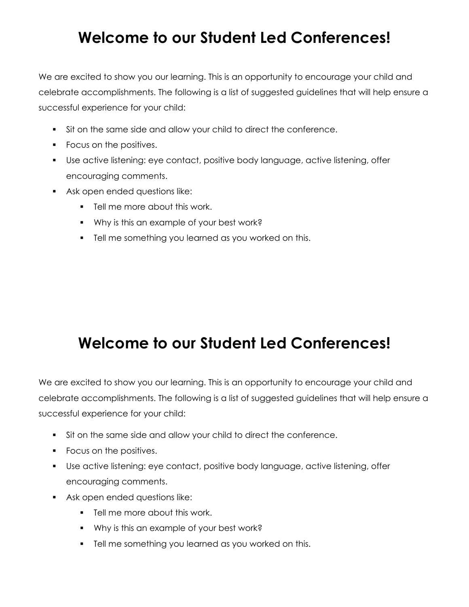# **Welcome to our Student Led Conferences!**

We are excited to show you our learning. This is an opportunity to encourage your child and celebrate accomplishments. The following is a list of suggested guidelines that will help ensure a successful experience for your child:

- Sit on the same side and allow your child to direct the conference.
- Focus on the positives.
- Use active listening: eye contact, positive body language, active listening, offer encouraging comments.
- Ask open ended questions like:
	- **Tell me more about this work.**
	- Why is this an example of your best work?
	- **Tell me something you learned as you worked on this.**

# **Welcome to our Student Led Conferences!**

We are excited to show you our learning. This is an opportunity to encourage your child and celebrate accomplishments. The following is a list of suggested guidelines that will help ensure a successful experience for your child:

- Sit on the same side and allow your child to direct the conference.
- Focus on the positives.
- Use active listening: eye contact, positive body language, active listening, offer encouraging comments.
- Ask open ended questions like:
	- **Fig.** Tell me more about this work.
	- Why is this an example of your best work?
	- **Tell me something you learned as you worked on this.**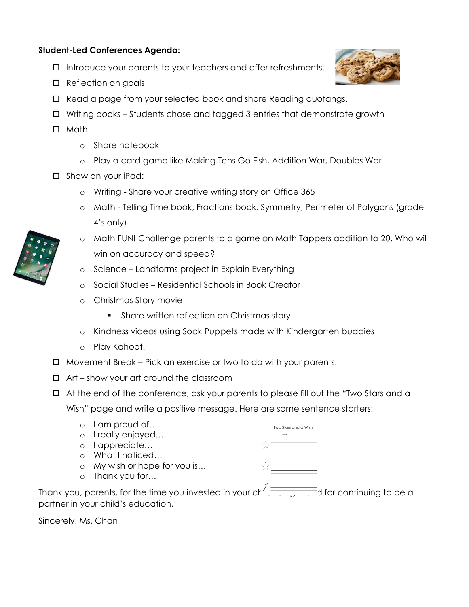### **Student-Led Conferences Agenda:**

- $\Box$  Introduce your parents to your teachers and offer refreshments.
- □ Reflection on goals
- Read a page from your selected book and share Reading duotangs.
- $\Box$  Writing books Students chose and tagged 3 entries that demonstrate growth
- $\Box$  Math
	- o Share notebook
	- o Play a card game like Making Tens Go Fish, Addition War, Doubles War
- □ Show on your iPad:
	- o Writing Share your creative writing story on Office 365
	- o Math Telling Time book, Fractions book, Symmetry, Perimeter of Polygons (grade 4's only)
	- o Math FUN! Challenge parents to a game on Math Tappers addition to 20. Who will win on accuracy and speed?
	- o Science Landforms project in Explain Everything
	- o Social Studies Residential Schools in Book Creator
	- o Christmas Story movie
		- **Share written reflection on Christmas story**
	- o Kindness videos using Sock Puppets made with Kindergarten buddies
	- o Play Kahoot!
- Movement Break Pick an exercise or two to do with your parents!
- $\Box$  Art show your art around the classroom
- $\Box$  At the end of the conference, ask your parents to please fill out the "Two Stars and a

Wish" page and write a positive message. Here are some sentence starters:

|         | I am proud of                                                                           | Two Stars and a Wish |  |
|---------|-----------------------------------------------------------------------------------------|----------------------|--|
| $\circ$ | I really enjoyed                                                                        |                      |  |
| $\circ$ | I appreciate                                                                            |                      |  |
|         | What I noticed                                                                          |                      |  |
|         | $\circ$ My wish or hope for you is                                                      |                      |  |
|         | $\circ$ Thank you for                                                                   |                      |  |
|         | Thank you, parents, for the time you invested in your changes and to continuing to be a |                      |  |
|         | partner in your child's education.                                                      |                      |  |

Sincerely, Ms. Chan



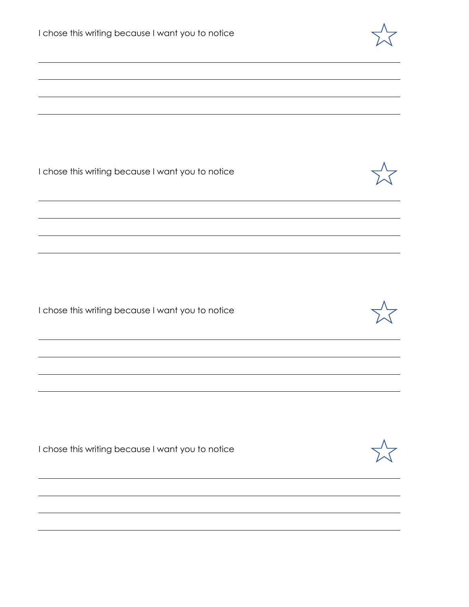| I chose this writing because I want you to notice |  |
|---------------------------------------------------|--|
|                                                   |  |
|                                                   |  |
|                                                   |  |
| I chose this writing because I want you to notice |  |
|                                                   |  |
|                                                   |  |
|                                                   |  |
| I chose this writing because I want you to notice |  |
|                                                   |  |
|                                                   |  |
|                                                   |  |
| I chose this writing because I want you to notice |  |
|                                                   |  |
|                                                   |  |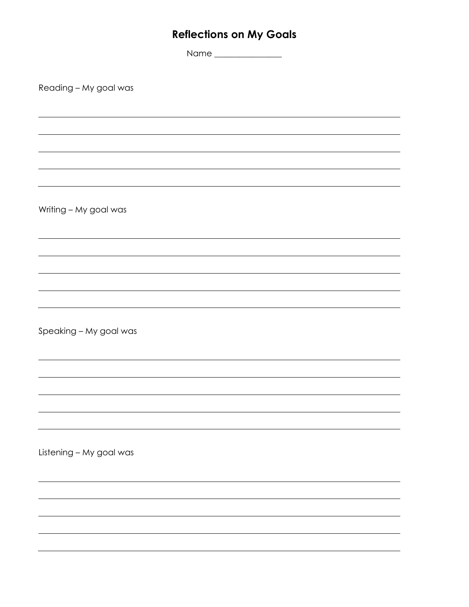## **Reflections on My Goals**

Name \_\_\_\_\_\_\_\_\_\_\_\_\_\_\_\_

Reading – My goal was

Writing – My goal was

Speaking – My goal was

Listening – My goal was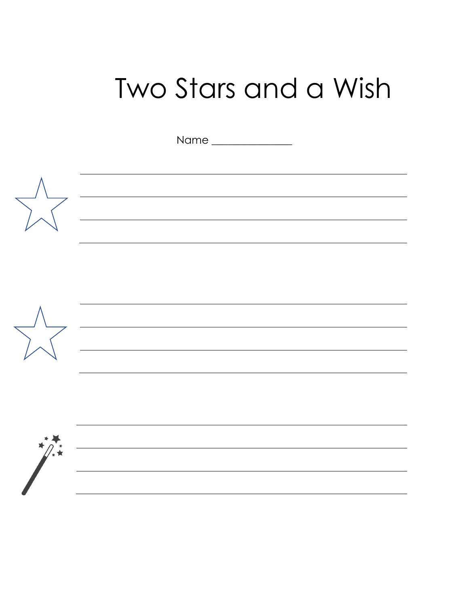# Two Stars and a Wish

Name \_\_\_\_\_\_\_\_\_\_\_\_\_\_\_